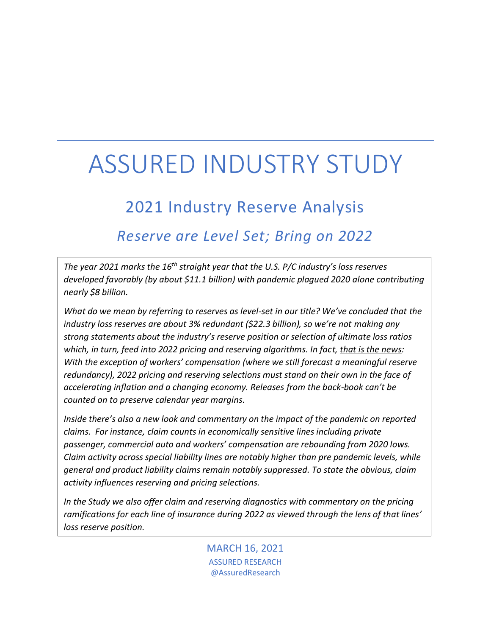# ASSURED INDUSTRY STUDY

## 2021 Industry Reserve Analysis

## *Reserve are Level Set; Bring on 2022*

*The year 2021 marks the 16 th straight year that the U.S. P/C industry's loss reserves developed favorably (by about \$11.1 billion) with pandemic plagued 2020 alone contributing nearly \$8 billion.*

*What do we mean by referring to reserves as level-set in our title? We've concluded that the industry loss reserves are about 3% redundant (\$22.3 billion), so we're not making any strong statements about the industry's reserve position or selection of ultimate loss ratios which, in turn, feed into 2022 pricing and reserving algorithms. In fact, that is the news: With the exception of workers' compensation (where we still forecast a meaningful reserve redundancy), 2022 pricing and reserving selections must stand on their own in the face of accelerating inflation and a changing economy. Releases from the back-book can't be counted on to preserve calendar year margins.*

*Inside there's also a new look and commentary on the impact of the pandemic on reported claims. For instance, claim counts in economically sensitive lines including private passenger, commercial auto and workers' compensation are rebounding from 2020 lows. Claim activity across special liability lines are notably higher than pre pandemic levels, while general and product liability claims remain notably suppressed. To state the obvious, claim activity influences reserving and pricing selections.*

*In the Study we also offer claim and reserving diagnostics with commentary on the pricing ramifications for each line of insurance during 2022 as viewed through the lens of that lines' loss reserve position.* 

> MARCH 16, 2021 ASSURED RESEARCH @AssuredResearch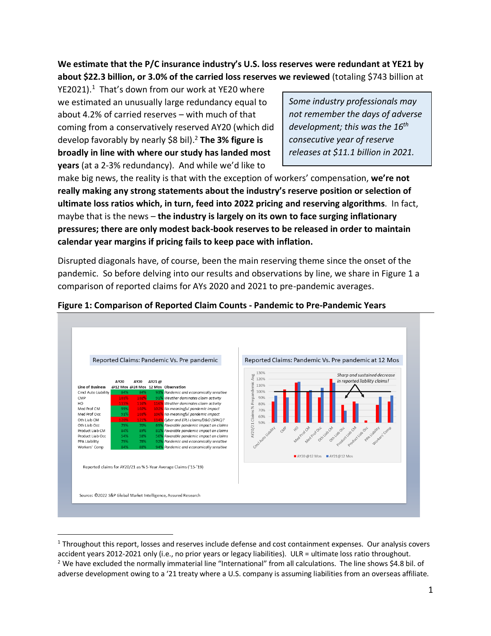**We estimate that the P/C insurance industry's U.S. loss reserves were redundant at YE21 by about \$22.3 billion, or 3.0% of the carried loss reserves we reviewed** (totaling \$743 billion at

YE2021).<sup>1</sup> That's down from our work at YE20 where we estimated an unusually large redundancy equal to about 4.2% of carried reserves – with much of that coming from a conservatively reserved AY20 (which did develop favorably by nearly \$8 bil). <sup>2</sup> **The 3% figure is broadly in line with where our study has landed most years** (at a 2-3% redundancy). And while we'd like to

*Some industry professionals may not remember the days of adverse development; this was the 16 th consecutive year of reserve releases at \$11.1 billion in 2021.*

make big news, the reality is that with the exception of workers' compensation, **we're not really making any strong statements about the industry's reserve position or selection of ultimate loss ratios which, in turn, feed into 2022 pricing and reserving algorithms**. In fact, maybe that is the news – **the industry is largely on its own to face surging inflationary pressures; there are only modest back-book reserves to be released in order to maintain calendar year margins if pricing fails to keep pace with inflation.**

Disrupted diagonals have, of course, been the main reserving theme since the onset of the pandemic. So before delving into our results and observations by line, we share in Figure 1 a comparison of reported claims for AYs 2020 and 2021 to pre-pandemic averages.



#### **Figure 1: Comparison of Reported Claim Counts - Pandemic to Pre-Pandemic Years**

<sup>&</sup>lt;sup>1</sup> Throughout this report, losses and reserves include defense and cost containment expenses. Our analysis covers accident years 2012-2021 only (i.e., no prior years or legacy liabilities). ULR = ultimate loss ratio throughout. <sup>2</sup> We have excluded the normally immaterial line "International" from all calculations. The line shows \$4.8 bil. of adverse development owing to a '21 treaty where a U.S. company is assuming liabilities from an overseas affiliate.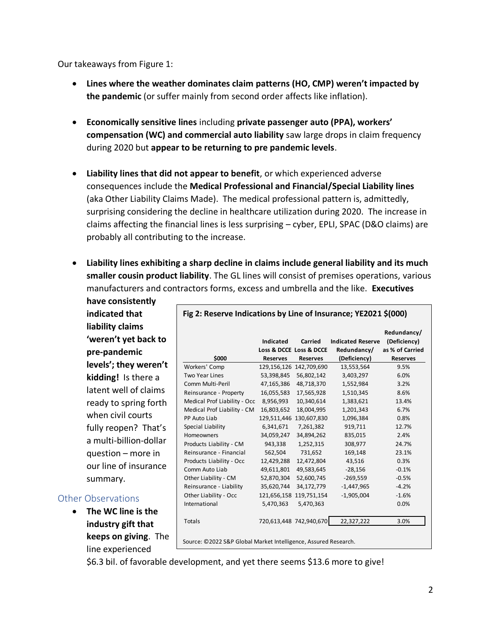Our takeaways from Figure 1:

- **Lines where the weather dominates claim patterns (HO, CMP) weren't impacted by the pandemic** (or suffer mainly from second order affects like inflation).
- **Economically sensitive lines** including **private passenger auto (PPA), workers' compensation (WC) and commercial auto liability** saw large drops in claim frequency during 2020 but **appear to be returning to pre pandemic levels**.
- **Liability lines that did not appear to benefit**, or which experienced adverse consequences include the **Medical Professional and Financial/Special Liability lines** (aka Other Liability Claims Made). The medical professional pattern is, admittedly, surprising considering the decline in healthcare utilization during 2020. The increase in claims affecting the financial lines is less surprising – cyber, EPLI, SPAC (D&O claims) are probably all contributing to the increase.
- **Liability lines exhibiting a sharp decline in claims include general liability and its much smaller cousin product liability**. The GL lines will consist of premises operations, various manufacturers and contractors forms, excess and umbrella and the like. **Executives**

**have consistently indicated that liability claims 'weren't yet back to pre-pandemic levels'; they weren't kidding!** Is there a latent well of claims ready to spring forth when civil courts fully reopen? That's a multi-billion-dollar question – more in our line of insurance summary.

#### Other Observations

• **The WC line is the industry gift that keeps on giving**. The line experienced

| \$000                        | <b>Indicated</b><br><b>Reserves</b> | Carried<br>Loss & DCCE Loss & DCCE<br><b>Reserves</b> | <b>Indicated Reserve</b><br>Redundancy/<br>(Deficiency) | Redundancy/<br>(Deficiency)<br>as % of Carried<br><b>Reserves</b> |
|------------------------------|-------------------------------------|-------------------------------------------------------|---------------------------------------------------------|-------------------------------------------------------------------|
| Workers' Comp                |                                     | 129,156,126 142,709,690                               | 13,553,564                                              | 9.5%                                                              |
| <b>Two Year Lines</b>        | 53,398,845                          | 56,802,142                                            | 3,403,297                                               | 6.0%                                                              |
| Comm Multi-Peril             | 47,165,386                          | 48,718,370                                            | 1,552,984                                               | 3.2%                                                              |
| Reinsurance - Property       | 16,055,583                          | 17,565,928                                            | 1,510,345                                               | 8.6%                                                              |
| Medical Prof Liability - Occ | 8,956,993                           | 10,340,614                                            | 1,383,621                                               | 13.4%                                                             |
| Medical Prof Liability - CM  | 16,803,652                          | 18,004,995                                            | 1,201,343                                               | 6.7%                                                              |
| PP Auto Liab                 |                                     | 129,511,446 130,607,830                               | 1,096,384                                               | 0.8%                                                              |
| Special Liability            | 6,341,671                           | 7,261,382                                             | 919,711                                                 | 12.7%                                                             |
| <b>Homeowners</b>            | 34,059,247                          | 34,894,262                                            | 835,015                                                 | 2.4%                                                              |
| Products Liability - CM      | 943,338                             | 1,252,315                                             | 308,977                                                 | 24.7%                                                             |
| Reinsurance - Financial      | 562,504                             | 731,652                                               | 169,148                                                 | 23.1%                                                             |
| Products Liability - Occ     | 12,429,288                          | 12,472,804                                            | 43,516                                                  | 0.3%                                                              |
| Comm Auto Liab               | 49,611,801                          | 49,583,645                                            | $-28,156$                                               | $-0.1%$                                                           |
| Other Liability - CM         | 52,870,304                          | 52,600,745                                            | $-269,559$                                              | $-0.5%$                                                           |
| Reinsurance - Liability      | 35,620,744                          | 34,172,779                                            | $-1,447,965$                                            | $-4.2%$                                                           |
| Other Liability - Occ        |                                     | 121,656,158 119,751,154                               | $-1,905,004$                                            | $-1.6%$                                                           |
| International                | 5,470,363                           | 5,470,363                                             |                                                         | 0.0%                                                              |
| Totals                       |                                     | 720,613,448 742,940,670                               | 22,327,222                                              | 3.0%                                                              |

\$6.3 bil. of favorable development, and yet there seems \$13.6 more to give!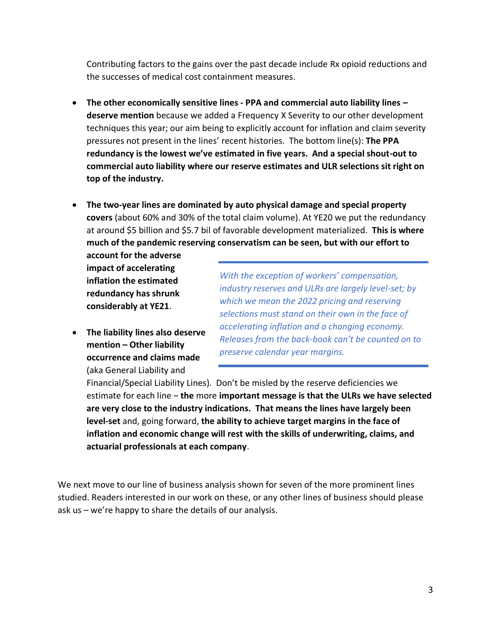Contributing factors to the gains over the past decade include Rx opioid reductions and the successes of medical cost containment measures.

- **The other economically sensitive lines - PPA and commercial auto liability lines – deserve mention** because we added a Frequency X Severity to our other development techniques this year; our aim being to explicitly account for inflation and claim severity pressures not present in the lines' recent histories. The bottom line(s): **The PPA redundancy is the lowest we've estimated in five years. And a special shout-out to commercial auto liability where our reserve estimates and ULR selections sit right on top of the industry.**
- **The two-year lines are dominated by auto physical damage and special property covers** (about 60% and 30% of the total claim volume). At YE20 we put the redundancy at around \$5 billion and \$5.7 bil of favorable development materialized. **This is where much of the pandemic reserving conservatism can be seen, but with our effort to**

**account for the adverse impact of accelerating inflation the estimated redundancy has shrunk considerably at YE21**.

• **The liability lines also deserve mention – Other liability occurrence and claims made** (aka General Liability and

*With the exception of workers' compensation, industry reserves and ULRs are largely level-set; by which we mean the 2022 pricing and reserving selections must stand on their own in the face of accelerating inflation and a changing economy. Releases from the back-book can't be counted on to preserve calendar year margins.*

Financial/Special Liability Lines). Don't be misled by the reserve deficiencies we estimate for each line – **the** more **important message is that the ULRs we have selected are very close to the industry indications. That means the lines have largely been level-set** and, going forward, **the ability to achieve target margins in the face of inflation and economic change will rest with the skills of underwriting, claims, and actuarial professionals at each company**.

We next move to our line of business analysis shown for seven of the more prominent lines studied. Readers interested in our work on these, or any other lines of business should please ask us – we're happy to share the details of our analysis.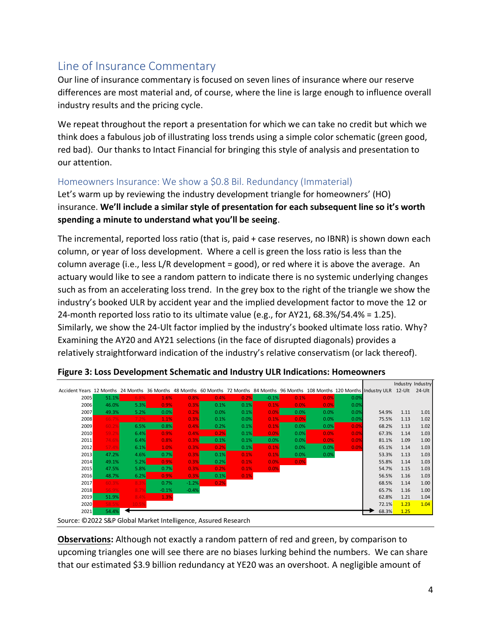### Line of Insurance Commentary

Our line of insurance commentary is focused on seven lines of insurance where our reserve differences are most material and, of course, where the line is large enough to influence overall industry results and the pricing cycle.

We repeat throughout the report a presentation for which we can take no credit but which we think does a fabulous job of illustrating loss trends using a simple color schematic (green good, red bad). Our thanks to Intact Financial for bringing this style of analysis and presentation to our attention.

#### Homeowners Insurance: We show a \$0.8 Bil. Redundancy (Immaterial)

Let's warm up by reviewing the industry development triangle for homeowners' (HO) insurance. **We'll include a similar style of presentation for each subsequent line so it's worth spending a minute to understand what you'll be seeing**.

The incremental, reported loss ratio (that is, paid + case reserves, no IBNR) is shown down each column, or year of loss development. Where a cell is green the loss ratio is less than the column average (i.e., less L/R development = good), or red where it is above the average. An actuary would like to see a random pattern to indicate there is no systemic underlying changes such as from an accelerating loss trend. In the grey box to the right of the triangle we show the industry's booked ULR by accident year and the implied development factor to move the 12 or 24-month reported loss ratio to its ultimate value (e.g., for AY21,  $68.3\%/54.4\% = 1.25$ ). Similarly, we show the 24-Ult factor implied by the industry's booked ultimate loss ratio. Why? Examining the AY20 and AY21 selections (in the face of disrupted diagonals) provides a relatively straightforward indication of the industry's relative conservatism (or lack thereof).

|                                                                                                                                                 |       |       |         |         |      |      |         |      |      |      |       | Industry Industry |      |
|-------------------------------------------------------------------------------------------------------------------------------------------------|-------|-------|---------|---------|------|------|---------|------|------|------|-------|-------------------|------|
| Accident Years 12 Months 24 Months 36 Months 48 Months 60 Months 72 Months 84 Months 96 Months 108 Months 120 Months Industry ULR 12-Ult 24-Ult |       |       |         |         |      |      |         |      |      |      |       |                   |      |
| 2005                                                                                                                                            | 51.1% | 6.8%  | 1.6%    | 0.8%    | 0.4% | 0.2% | $-0.1%$ | 0.1% | 0.0% | 0.0% |       |                   |      |
| 2006                                                                                                                                            | 46.0% | 5.3%  | 0.9%    | 0.3%    | 0.1% | 0.1% | 0.1%    | 0.0% | 0.0% | 0.0% |       |                   |      |
| 2007                                                                                                                                            | 49.3% | 5.2%  | 0.0%    | 0.2%    | 0.0% | 0.1% | 0.0%    | 0.0% | 0.0% | 0.0% | 54.9% | 1.11              | 1.01 |
| 2008                                                                                                                                            | 66.7% | 7.2%  | 1.1%    | 0.3%    | 0.1% | 0.0% | 0.1%    | 0.0% | 0.0% | 0.0% | 75.5% | 1.13              | 1.02 |
| 2009                                                                                                                                            | 60.2% | 6.5%  | 0.8%    | 0.4%    | 0.2% | 0.1% | 0.1%    | 0.0% | 0.0% | 0.0% | 68.2% | 1.13              | 1.02 |
| 2010                                                                                                                                            | 59.2% | 6.4%  | 0.9%    | 0.4%    | 0.2% | 0.1% | 0.0%    | 0.0% | 0.0% | 0.0% | 67.3% | 1.14              | 1.03 |
| 2011                                                                                                                                            | 74.69 | 6.4%  | 0.8%    | 0.3%    | 0.1% | 0.1% | 0.0%    | 0.0% | 0.0% | 0.0% | 81.1% | 1.09              | 1.00 |
| 2012                                                                                                                                            | 57.4% | 6.1%  | 1.0%    | 0.3%    | 0.2% | 0.1% | 0.1%    | 0.0% | 0.0% | 0.0% | 65.1% | 1.14              | 1.03 |
| 2013                                                                                                                                            | 47.2% | 4.6%  | 0.7%    | 0.3%    | 0.1% | 0.1% | 0.1%    | 0.0% | 0.0% |      | 53.3% | 1.13              | 1.03 |
| 2014                                                                                                                                            | 49.1% | 5.2%  | 0.9%    | 0.3%    | 0.2% | 0.1% | 0.0%    | 0.0% |      |      | 55.8% | 1.14              | 1.03 |
| 2015                                                                                                                                            | 47.5% | 5.8%  | 0.7%    | 0.3%    | 0.2% | 0.1% | 0.0%    |      |      |      | 54.7% | 1.15              | 1.03 |
| 2016                                                                                                                                            | 48.7% | 6.2%  | 0.9%    | 0.3%    | 0.1% | 0.1% |         |      |      |      | 56.5% | 1.16              | 1.03 |
| 2017                                                                                                                                            | 60.3% | 8.3%  | 0.7%    | $-1.2%$ | 0.2% |      |         |      |      |      | 68.5% | 1.14              | 1.00 |
| 2018                                                                                                                                            | 56.9% | 8.79  | $-0.1%$ | $-0.4%$ |      |      |         |      |      |      | 65.7% | 1.16              | 1.00 |
| 2019                                                                                                                                            | 51.9% | 8.4%  | 1.3%    |         |      |      |         |      |      |      | 62.8% | 1.21              | 1.04 |
| 2020                                                                                                                                            | 58.5% | 10.5% |         |         |      |      |         |      |      |      | 72.1% | 1.23              | 1.04 |
| 2021                                                                                                                                            | 54.4% |       |         |         |      |      |         |      |      |      | 68.3% | 1.25              |      |

**Figure 3: Loss Development Schematic and Industry ULR Indications: Homeowners**

Source: ©2022 S&P Global Market Intelligence, Assured Research

**Observations:** Although not exactly a random pattern of red and green, by comparison to upcoming triangles one will see there are no biases lurking behind the numbers. We can share that our estimated \$3.9 billion redundancy at YE20 was an overshoot. A negligible amount of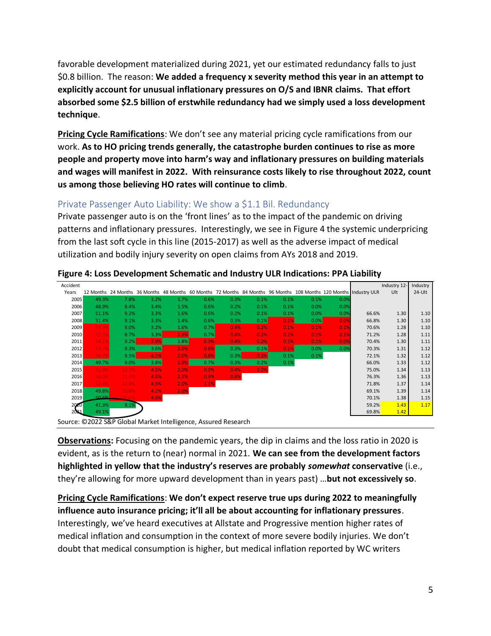favorable development materialized during 2021, yet our estimated redundancy falls to just \$0.8 billion. The reason: **We added a frequency x severity method this year in an attempt to explicitly account for unusual inflationary pressures on O/S and IBNR claims. That effort absorbed some \$2.5 billion of erstwhile redundancy had we simply used a loss development technique**.

**Pricing Cycle Ramifications**: We don't see any material pricing cycle ramifications from our work. **As to HO pricing trends generally, the catastrophe burden continues to rise as more people and property move into harm's way and inflationary pressures on building materials and wages will manifest in 2022. With reinsurance costs likely to rise throughout 2022, count us among those believing HO rates will continue to climb**.

#### Private Passenger Auto Liability: We show a \$1.1 Bil. Redundancy

Private passenger auto is on the 'front lines' as to the impact of the pandemic on driving patterns and inflationary pressures. Interestingly, we see in Figure 4 the systemic underpricing from the last soft cycle in this line (2015-2017) as well as the adverse impact of medical utilization and bodily injury severity on open claims from AYs 2018 and 2019.

| Accident |        |       |      |      |      |      |      |      |      |      |                                                                                                                    | Industry 12- | Industry |
|----------|--------|-------|------|------|------|------|------|------|------|------|--------------------------------------------------------------------------------------------------------------------|--------------|----------|
| Years    |        |       |      |      |      |      |      |      |      |      | 12 Months 24 Months 36 Months 48 Months 60 Months 72 Months 84 Months 96 Months 108 Months 120 Months Industry ULR | Ult          | $24-Ult$ |
| 2005     | 49.3%  | 7.8%  | 3.2% | 1.7% | 0.6% | 0.3% | 0.1% | 0.1% | 0.1% | 0.0% |                                                                                                                    |              |          |
| 2006     | 48.9%  | 8.4%  | 3.4% | 1.5% | 0.6% | 0.2% | 0.1% | 0.1% | 0.0% | 0.0% |                                                                                                                    |              |          |
| 2007     | 51.1%  | 9.2%  | 3.3% | 1.6% | 0.6% | 0.2% | 0.1% | 0.1% | 0.0% | 0.0% | 66.6%                                                                                                              | 1.30         | 1.10     |
| 2008     | 51.4%  | 9.1%  | 3.3% | 1.4% | 0.6% | 0.3% | 0.1% | 0.1% | 0.0% | 0.0% | 66.8%                                                                                                              | 1.30         | 1.10     |
| 2009     | 54.9%  | 9.0%  | 3.2% | 1.6% | 0.7% | 0.4% | 0.2% | 0.1% | 0.1% | 0.1% | 70.6%                                                                                                              | 1.28         | 1.10     |
| 2010     | 55.59  | 8.7%  | 3.3% | 1.9% | 0.7% | 0.4% | 0.2% | 0.1% | 0.1% | 0.1% | 71.2%                                                                                                              | 1.28         | 1.11     |
| 2011     | 54.1%  | 9.2%  | 3.9% | 1.8% | 0.9% | 0.4% | 0.2% | 0.1% | 0.1% | 0.0% | 70.4%                                                                                                              | 1.30         | 1.11     |
| 2012     | 53.79  | 9.3%  | 3.6% | 2.0% | 0.8% | 0.3% | 0.1% | 0.1% | 0.0% | 0.0% | 70.3%                                                                                                              | 1.31         | 1.12     |
| 2013     | 54.7%  | 9.5%  | 4.1% | 2.0% | 0.8% | 0.3% | 0.3% | 0.1% | 0.1% |      | 72.1%                                                                                                              | 1.32         | 1.12     |
| 2014     | 49.7%  | 9.0%  | 3.8% | 1.9% | 0.7% | 0.3% | 0.2% | 0.1% |      |      | 66.0%                                                                                                              | 1.33         | 1.12     |
| 2015     | 55.9%  | 10.7% | 4.5% | 2.0% | 0.9% | 0.4% | 0.2% |      |      |      | 75.0%                                                                                                              | 1.34         | 1.13     |
| 2016     | 56.0%  | 11.4% | 4.5% | 2.3% | 0.9% | 0.6% |      |      |      |      | 76.3%                                                                                                              | 1.36         | 1.13     |
| 2017     | 52.4%  | 10.8% | 4.5% | 2.0% | 1.1% |      |      |      |      |      | 71.8%                                                                                                              | 1.37         | 1.14     |
| 2018     | 49.8%  | 10.8% | 4.2% | 2.0% |      |      |      |      |      |      | 69.1%                                                                                                              | 1.39         | 1.14     |
| 2019     | 50.601 | 10.6% | 4.6% |      |      |      |      |      |      |      | 70.1%                                                                                                              | 1.38         | 1.15     |
| 2020     | 41.3%  | 9.1%  |      |      |      |      |      |      |      |      | 59.2%                                                                                                              | 1.43         | 1.17     |
| 2021     | 49.1%  |       |      |      |      |      |      |      |      |      | 69.8%                                                                                                              | 1.42         |          |

**Figure 4: Loss Development Schematic and Industry ULR Indications: PPA Liability**

Source: ©2022 S&P Global Market Intelligence, Assured Research

**Observations:** Focusing on the pandemic years, the dip in claims and the loss ratio in 2020 is evident, as is the return to (near) normal in 2021. **We can see from the development factors highlighted in yellow that the industry's reserves are probably** *somewhat* **conservative** (i.e., they're allowing for more upward development than in years past) …**but not excessively so**.

**Pricing Cycle Ramifications**: **We don't expect reserve true ups during 2022 to meaningfully influence auto insurance pricing; it'll all be about accounting for inflationary pressures**. Interestingly, we've heard executives at Allstate and Progressive mention higher rates of medical inflation and consumption in the context of more severe bodily injuries. We don't doubt that medical consumption is higher, but medical inflation reported by WC writers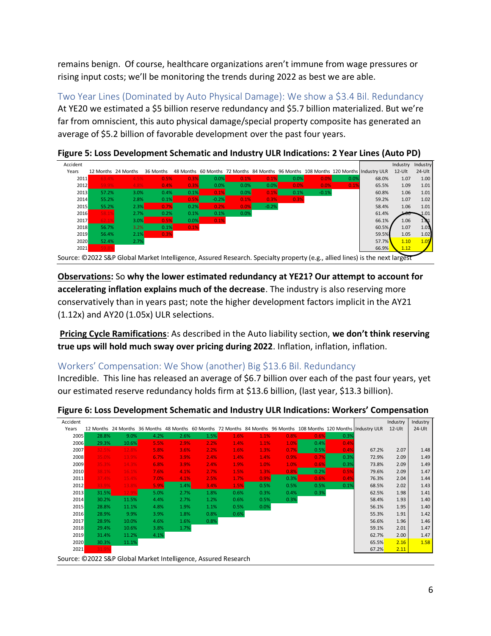remains benign. Of course, healthcare organizations aren't immune from wage pressures or rising input costs; we'll be monitoring the trends during 2022 as best we are able.

Two Year Lines (Dominated by Auto Physical Damage): We show a \$3.4 Bil. Redundancy At YE20 we estimated a \$5 billion reserve redundancy and \$5.7 billion materialized. But we're far from omniscient, this auto physical damage/special property composite has generated an average of \$5.2 billion of favorable development over the past four years.

| Accident                                                                                                                    |                     |      |           |         |         |      |         |      |         |      |                                                                                      | Industry  | Industry             |
|-----------------------------------------------------------------------------------------------------------------------------|---------------------|------|-----------|---------|---------|------|---------|------|---------|------|--------------------------------------------------------------------------------------|-----------|----------------------|
| Years                                                                                                                       | 12 Months 24 Months |      | 36 Months |         |         |      |         |      |         |      | 48 Months 60 Months 72 Months 84 Months 96 Months 108 Months 120 Months Industry ULR | $12$ -Ult | $24$ -Ult            |
| 2011                                                                                                                        | 63.4%               | 4.5% | 0.5%      | 0.3%    | 0.0%    | 0.1% | 0.1%    | 0.0% | 0.0%    | 0.0% | 68.0%                                                                                | 1.07      | 1.00                 |
| 2012                                                                                                                        | 59.9%               | 4.8% | 0.4%      | 0.3%    | 0.0%    | 0.0% | 0.0%    | 0.0% | 0.0%    | 0.1% | 65.5%                                                                                | 1.09      | 1.01                 |
| 2013                                                                                                                        | 57.2%               | 3.0% | 0.4%      | 0.1%    | 0.1%    | 0.0% | 0.1%    | 0.1% | $-0.1%$ |      | 60.8%                                                                                | 1.06      | 1.01                 |
| 2014                                                                                                                        | 55.2%               | 2.8% | 0.1%      | 0.5%    | $-0.2%$ | 0.1% | 0.3%    | 0.3% |         |      | 59.2%                                                                                | 1.07      | 1.02                 |
| 2015                                                                                                                        | 55.2%               | 2.3% | 0.7%      | 0.2%    | 0.2%    | 0.0% | $-0.2%$ |      |         |      | 58.4%                                                                                | 1.06      | 1.01                 |
| 2016                                                                                                                        | 58.1%               | 2.7% | 0.2%      | 0.1%    | 0.1%    | 0.0% |         |      |         |      | 61.4%                                                                                | FUO.      | $\mathcal{L}^{0.01}$ |
| 2017                                                                                                                        | 62.1%               | 3.0% | 0.5%      | $0.0\%$ | 0.1%    |      |         |      |         |      | 66.1%                                                                                | 1.06      | 1.01                 |
| 2018                                                                                                                        | 56.7%               | 3.2% | 0.1%      | 0.1%    |         |      |         |      |         |      | 60.5%                                                                                | 1.07      | $1.0\text{\AA}$      |
| 2019                                                                                                                        | 56.4%               | 2.1% | 0.3%      |         |         |      |         |      |         |      | 59.5%                                                                                | 1.05      | 1.02                 |
| 2020                                                                                                                        | 52.4%               | 2.7% |           |         |         |      |         |      |         |      | 57.7%                                                                                | 1.10      | 1.05                 |
| 2021                                                                                                                        | 59.8%               |      |           |         |         |      |         |      |         |      | 66.9%                                                                                | 1.12      |                      |
| Source: ©2022 S&P Global Market Intelligence, Assured Research. Specialty property (e.g., allied lines) is the next largest |                     |      |           |         |         |      |         |      |         |      |                                                                                      |           |                      |

**Figure 5: Loss Development Schematic and Industry ULR Indications: 2 Year Lines (Auto PD)**

**Observations:** So **why the lower estimated redundancy at YE21? Our attempt to account for accelerating inflation explains much of the decrease**. The industry is also reserving more conservatively than in years past; note the higher development factors implicit in the AY21 (1.12x) and AY20 (1.05x) ULR selections.

**Pricing Cycle Ramifications**: As described in the Auto liability section, **we don't think reserving true ups will hold much sway over pricing during 2022**. Inflation, inflation, inflation.

#### Workers' Compensation: We Show (another) Big \$13.6 Bil. Redundancy

Incredible. This line has released an average of \$6.7 billion over each of the past four years, yet our estimated reserve redundancy holds firm at \$13.6 billion, (last year, \$13.3 billion).

| Accident |                                                                |       |      |      |      |      |      |      |      |      |                                                                                                                    | Industry | Industry |
|----------|----------------------------------------------------------------|-------|------|------|------|------|------|------|------|------|--------------------------------------------------------------------------------------------------------------------|----------|----------|
| Years    |                                                                |       |      |      |      |      |      |      |      |      | 12 Months 24 Months 36 Months 48 Months 60 Months 72 Months 84 Months 96 Months 108 Months 120 Months Industry ULR | 12-Ult   | 24-Ult   |
| 2005     | 28.8%                                                          | 9.0%  | 4.2% | 2.6% | 1.5% | 1.6% | 1.1% | 0.8% | 0.6% | 0.3% |                                                                                                                    |          |          |
| 2006     | 29.3%                                                          | 10.6% | 5.5% | 2.9% | 2.2% | 1.4% | 1.1% | 1.0% | 0.4% | 0.4% |                                                                                                                    |          |          |
| 2007     | 32.5%                                                          | 12.8% | 5.8% | 3.6% | 2.2% | 1.6% | 1.3% | 0.7% | 0.5% | 0.4% | 67.2%                                                                                                              | 2.07     | 1.48     |
| 2008     | 35.0%                                                          | 13.9% | 6.7% | 3.9% | 2.4% | 1.4% | 1.4% | 0.9% | 0.7% | 0.3% | 72.9%                                                                                                              | 2.09     | 1.49     |
| 2009     | 35.3%                                                          | 14.3% | 6.8% | 3.9% | 2.4% | 1.9% | 1.0% | 1.0% | 0.6% | 0.3% | 73.8%                                                                                                              | 2.09     | 1.49     |
| 2010     | 38.1%                                                          | 16.1% | 7.6% | 4.1% | 2.7% | 1.5% | 1.3% | 0.8% | 0.2% | 0.5% | 79.6%                                                                                                              | 2.09     | 1.47     |
| 2011     | 37.4%                                                          | 15.4% | 7.0% | 4.1% | 2.5% | 1.7% | 0.9% | 0.3% | 0.6% | 0.4% | 76.3%                                                                                                              | 2.04     | 1.44     |
| 2012     | 33.9%                                                          | 13.8% | 5.9% | 1.4% | 3.4% | 1.5% | 0.5% | 0.5% | 0.5% | 0.1% | 68.5%                                                                                                              | 2.02     | 1.43     |
| 2013     | 31.5%                                                          | 12.9% | 5.0% | 2.7% | 1.8% | 0.6% | 0.3% | 0.4% | 0.3% |      | 62.5%                                                                                                              | 1.98     | 1.41     |
| 2014     | 30.2%                                                          | 11.5% | 4.4% | 2.7% | 1.2% | 0.6% | 0.5% | 0.3% |      |      | 58.4%                                                                                                              | 1.93     | 1.40     |
| 2015     | 28.8%                                                          | 11.1% | 4.8% | 1.9% | 1.1% | 0.5% | 0.0% |      |      |      | 56.1%                                                                                                              | 1.95     | 1.40     |
| 2016     | 28.9%                                                          | 9.9%  | 3.9% | 1.8% | 0.8% | 0.6% |      |      |      |      | 55.3%                                                                                                              | 1.91     | 1.42     |
| 2017     | 28.9%                                                          | 10.0% | 4.6% | 1.6% | 0.8% |      |      |      |      |      | 56.6%                                                                                                              | 1.96     | 1.46     |
| 2018     | 29.4%                                                          | 10.6% | 3.8% | 1.7% |      |      |      |      |      |      | 59.1%                                                                                                              | 2.01     | 1.47     |
| 2019     | 31.4%                                                          | 11.2% | 4.1% |      |      |      |      |      |      |      | 62.7%                                                                                                              | 2.00     | 1.47     |
| 2020     | 30.3%                                                          | 11.1% |      |      |      |      |      |      |      |      | 65.5%                                                                                                              | 2.16     | 1.58     |
| 2021     | 31.9%                                                          |       |      |      |      |      |      |      |      |      | 67.2%                                                                                                              | 2.11     |          |
|          | Source: ©2022 S&P Global Market Intelligence, Assured Research |       |      |      |      |      |      |      |      |      |                                                                                                                    |          |          |

**Figure 6: Loss Development Schematic and Industry ULR Indications: Workers' Compensation**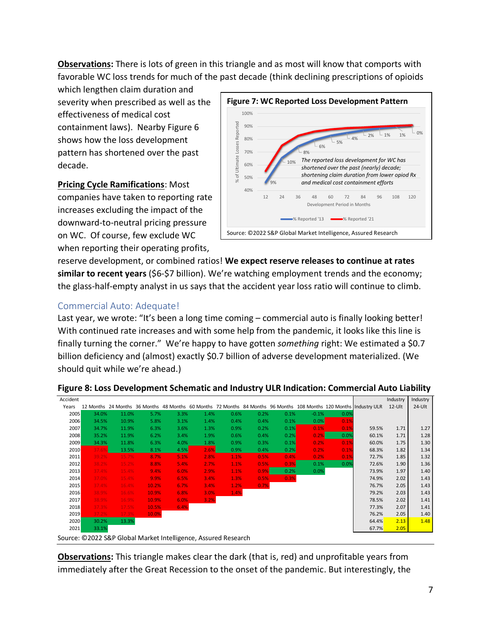**Observations:** There is lots of green in this triangle and as most will know that comports with favorable WC loss trends for much of the past decade (think declining prescriptions of opioids

which lengthen claim duration and severity when prescribed as well as the effectiveness of medical cost containment laws). Nearby Figure 6 shows how the loss development pattern has shortened over the past decade.

**Pricing Cycle Ramifications**: Most companies have taken to reporting rate increases excluding the impact of the downward-to-neutral pricing pressure on WC. Of course, few exclude WC when reporting their operating profits,



reserve development, or combined ratios! **We expect reserve releases to continue at rates similar to recent years** (\$6-\$7 billion). We're watching employment trends and the economy; the glass-half-empty analyst in us says that the accident year loss ratio will continue to climb.

#### Commercial Auto: Adequate!

Last year, we wrote: "It's been a long time coming – commercial auto is finally looking better! With continued rate increases and with some help from the pandemic, it looks like this line is finally turning the corner." We're happy to have gotten *something* right: We estimated a \$0.7 billion deficiency and (almost) exactly \$0.7 billion of adverse development materialized. (We should quit while we're ahead.)

| Accident |       |       |                                                                                                                                                                                                                                                                                                                                                                                                                  |      |      |                      |      |      |         |      |                                                                                                                    | Industry | Industry |
|----------|-------|-------|------------------------------------------------------------------------------------------------------------------------------------------------------------------------------------------------------------------------------------------------------------------------------------------------------------------------------------------------------------------------------------------------------------------|------|------|----------------------|------|------|---------|------|--------------------------------------------------------------------------------------------------------------------|----------|----------|
| Years    |       |       |                                                                                                                                                                                                                                                                                                                                                                                                                  |      |      |                      |      |      |         |      | 12 Months 24 Months 36 Months 48 Months 60 Months 72 Months 84 Months 96 Months 108 Months 120 Months Industry ULR | $12-Ult$ | 24-Ult   |
| 2005     | 34.0% | 11.0% | 5.7%                                                                                                                                                                                                                                                                                                                                                                                                             | 3.3% | 1.4% | 0.6%                 | 0.2% | 0.1% | $-0.1%$ | 0.0% |                                                                                                                    |          |          |
| 2006     | 34.5% | 10.9% | 5.8%                                                                                                                                                                                                                                                                                                                                                                                                             | 3.1% | 1.4% | 0.4%                 | 0.4% | 0.1% | 0.0%    | 0.1% |                                                                                                                    |          |          |
| 2007     | 34.7% | 11.9% | 6.3%                                                                                                                                                                                                                                                                                                                                                                                                             | 3.6% | 1.3% | 0.9%                 | 0.2% | 0.1% | 0.1%    | 0.1% | 59.5%                                                                                                              | 1.71     | 1.27     |
| 2008     | 35.2% | 11.9% | 6.2%                                                                                                                                                                                                                                                                                                                                                                                                             | 3.4% | 1.9% | 0.6%                 | 0.4% | 0.2% | 0.2%    | 0.0% | 60.1%                                                                                                              | 1.71     | 1.28     |
| 2009     | 34.3% | 11.8% | 6.3%                                                                                                                                                                                                                                                                                                                                                                                                             | 4.0% | 1.8% | 0.9%                 | 0.3% | 0.1% | 0.2%    | 0.1% | 60.0%                                                                                                              | 1.75     | 1.30     |
| 2010     | 37.6% | 13.5% | 8.1%                                                                                                                                                                                                                                                                                                                                                                                                             | 4.5% | 2.6% | 0.9%                 | 0.4% | 0.2% | 0.2%    | 0.1% | 68.3%                                                                                                              | 1.82     | 1.34     |
| 2011     | 39.2% | 15.7% | 8.7%                                                                                                                                                                                                                                                                                                                                                                                                             | 5.1% | 2.8% | 1.1%                 | 0.5% | 0.4% | 0.2%    | 0.1% | 72.7%                                                                                                              | 1.85     | 1.32     |
| 2012     | 38.2% | 15.2% | 8.8%                                                                                                                                                                                                                                                                                                                                                                                                             | 5.4% | 2.7% | 1.1%                 | 0.5% | 0.3% | 0.1%    | 0.0% | 72.6%                                                                                                              | 1.90     | 1.36     |
| 2013     | 37.4% | 15.4% | 9.4%                                                                                                                                                                                                                                                                                                                                                                                                             | 6.0% | 2.9% | 1.1%                 | 0.9% | 0.2% | 0.0%    |      | 73.9%                                                                                                              | 1.97     | 1.40     |
| 2014     | 37.0% | 15.4% | 9.9%                                                                                                                                                                                                                                                                                                                                                                                                             | 6.5% | 3.4% | 1.3%                 | 0.5% | 0.3% |         |      | 74.9%                                                                                                              | 2.02     | 1.43     |
| 2015     | 37.4% | 16.4% | 10.2%                                                                                                                                                                                                                                                                                                                                                                                                            | 6.7% | 3.4% | 1.2%                 | 0.7% |      |         |      | 76.7%                                                                                                              | 2.05     | 1.43     |
| 2016     | 38.9% | 16.6% | 10.9%                                                                                                                                                                                                                                                                                                                                                                                                            | 6.8% | 3.0% | 1.4%                 |      |      |         |      | 79.2%                                                                                                              | 2.03     | 1.43     |
| 2017     | 38.9% | 16.9% | 10.9%                                                                                                                                                                                                                                                                                                                                                                                                            | 6.0% | 3.2% |                      |      |      |         |      | 78.5%                                                                                                              | 2.02     | 1.41     |
| 2018     | 37.3% | 17.5% | 10.5%                                                                                                                                                                                                                                                                                                                                                                                                            | 6.4% |      |                      |      |      |         |      | 77.3%                                                                                                              | 2.07     | 1.41     |
| 2019     | 37.2% | 17.3% | 10.0%                                                                                                                                                                                                                                                                                                                                                                                                            |      |      |                      |      |      |         |      | 76.2%                                                                                                              | 2.05     | 1.40     |
| 2020     | 30.2% | 13.3% |                                                                                                                                                                                                                                                                                                                                                                                                                  |      |      |                      |      |      |         |      | 64.4%                                                                                                              | 2.13     | 1.48     |
| 2021     | 33.1% |       |                                                                                                                                                                                                                                                                                                                                                                                                                  |      |      |                      |      |      |         |      | 67.7%                                                                                                              | 2.05     |          |
|          |       |       | $\bigcirc$ 2222 $\bigcirc$ $\bigcirc$ $\bigcirc$ $\bigcirc$ $\bigcirc$ $\bigcirc$ $\bigcirc$ $\bigcirc$ $\bigcirc$ $\bigcirc$ $\bigcirc$ $\bigcirc$ $\bigcirc$ $\bigcirc$ $\bigcirc$ $\bigcirc$ $\bigcirc$ $\bigcirc$ $\bigcirc$ $\bigcirc$ $\bigcirc$ $\bigcirc$ $\bigcirc$ $\bigcirc$ $\bigcirc$ $\bigcirc$ $\bigcirc$ $\bigcirc$ $\bigcirc$ $\bigcirc$ $\bigcirc$ $\bigcirc$ $\bigcirc$ $\bigcirc$ $\bigcirc$ |      |      | $\sim$ $\sim$ $\sim$ |      |      |         |      |                                                                                                                    |          |          |

**Figure 8: Loss Development Schematic and Industry ULR Indication: Commercial Auto Liability**

Source: ©2022 S&P Global Market Intelligence, Assured Research

**Observations:** This triangle makes clear the dark (that is, red) and unprofitable years from immediately after the Great Recession to the onset of the pandemic. But interestingly, the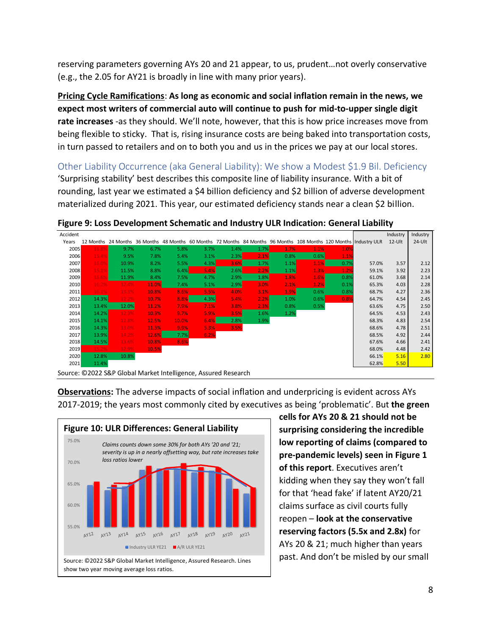reserving parameters governing AYs 20 and 21 appear, to us, prudent…not overly conservative (e.g., the 2.05 for AY21 is broadly in line with many prior years).

**Pricing Cycle Ramifications**: **As long as economic and social inflation remain in the news, we expect most writers of commercial auto will continue to push for mid-to-upper single digit rate increases** -as they should. We'll note, however, that this is how price increases move from being flexible to sticky. That is, rising insurance costs are being baked into transportation costs, in turn passed to retailers and on to both you and us in the prices we pay at our local stores.

Other Liability Occurrence (aka General Liability): We show a Modest \$1.9 Bil. Deficiency 'Surprising stability' best describes this composite line of liability insurance. With a bit of rounding, last year we estimated a \$4 billion deficiency and \$2 billion of adverse development materialized during 2021. This year, our estimated deficiency stands near a clean \$2 billion.

| Accident |       |                                                                |       |       |      |      |      |      |      |      |                                                                                                                    | Industry  | Industry  |
|----------|-------|----------------------------------------------------------------|-------|-------|------|------|------|------|------|------|--------------------------------------------------------------------------------------------------------------------|-----------|-----------|
| Years    |       |                                                                |       |       |      |      |      |      |      |      | 12 Months 24 Months 36 Months 48 Months 60 Months 72 Months 84 Months 96 Months 108 Months 120 Months Industry ULR | $12$ -Ult | $24$ -Ult |
| 2005     | 16.8% | 9.7%                                                           | 6.7%  | 5.8%  | 3.7% | 1.4% | 1.7% | 1.7% | 1.1% | 1.0% |                                                                                                                    |           |           |
| 2006     | 15.4% | 9.5%                                                           | 7.8%  | 5.4%  | 3.1% | 2.3% | 2.1% | 0.8% | 0.6% | 1.1% |                                                                                                                    |           |           |
| 2007     | 16.0% | 10.9%                                                          | 8.2%  | 5.5%  | 4.3% | 3.6% | 1.7% | 1.1% | 1.1% | 0.7% | 57.0%                                                                                                              | 3.57      | 2.12      |
| 2008     | 15.1% | 11.5%                                                          | 8.8%  | 6.4%  | 5.4% | 2.6% | 2.2% | 1.1% | 1.3% | 1.2% | 59.1%                                                                                                              | 3.92      | 2.23      |
| 2009     | 16.6% | 11.9%                                                          | 8.4%  | 7.5%  | 4.7% | 2.9% | 1.8% | 1.8% | 1.6% | 0.8% | 61.0%                                                                                                              | 3.68      | 2.14      |
| 2010     | 16.2% | 12.4%                                                          | 11.0% | 7.4%  | 5.1% | 2.9% | 3.0% | 2.1% | 1.2% | 0.1% | 65.3%                                                                                                              | 4.03      | 2.28      |
| 2011     | 16.1% | 13.1%                                                          | 10.8% | 8.6%  | 5.5% | 4.0% | 3.1% | 1.9% | 0.6% | 0.8% | 68.7%                                                                                                              | 4.27      | 2.36      |
| 2012     | 14.3% | 12.2%                                                          | 10.7% | 8.8%  | 4.3% | 5.4% | 2.2% | 1.0% | 0.6% | 0.8% | 64.7%                                                                                                              | 4.54      | 2.45      |
| 2013     | 13.4% | 12.0%                                                          | 11.2% | 7.9%  | 7.1% | 3.8% | 2.3% | 0.8% | 0.5% |      | 63.6%                                                                                                              | 4.75      | 2.50      |
| 2014     | 14.2% | 12.3%                                                          | 10.3% | 9.7%  | 5.9% | 3.5% | 1.6% | 1.2% |      |      | 64.5%                                                                                                              | 4.53      | 2.43      |
| 2015     | 14.1% | 12.8%                                                          | 12.5% | 10.0% | 6.4% | 2.8% | 1.9% |      |      |      | 68.3%                                                                                                              | 4.83      | 2.54      |
| 2016     | 14.3% | 13.0%                                                          | 11.3% | 9.9%  | 5.3% | 3.5% |      |      |      |      | 68.6%                                                                                                              | 4.78      | 2.51      |
| 2017     | 13.9% | 14.2%                                                          | 12.6% | 7.7%  | 6.2% |      |      |      |      |      | 68.5%                                                                                                              | 4.92      | 2.44      |
| 2018     | 14.5% | 13.6%                                                          | 10.8% | 8.6%  |      |      |      |      |      |      | 67.6%                                                                                                              | 4.66      | 2.41      |
| 2019     | 15.2% | 12.9%                                                          | 10.5% |       |      |      |      |      |      |      | 68.0%                                                                                                              | 4.48      | 2.42      |
| 2020     | 12.8% | 10.8%                                                          |       |       |      |      |      |      |      |      | 66.1%                                                                                                              | 5.16      | 2.80      |
| 2021     | 11.4% |                                                                |       |       |      |      |      |      |      |      | 62.8%                                                                                                              | 5.50      |           |
|          |       | Source: ©2022 S&P Global Market Intelligence, Assured Research |       |       |      |      |      |      |      |      |                                                                                                                    |           |           |

**Figure 9: Loss Development Schematic and Industry ULR Indication: General Liability**

**Observations:** The adverse impacts of social inflation and underpricing is evident across AYs 2017-2019; the years most commonly cited by executives as being 'problematic'. But **the green** 



**cells for AYs 20 & 21 should not be surprising considering the incredible low reporting of claims (compared to pre-pandemic levels) seen in Figure 1 of this report**. Executives aren't kidding when they say they won't fall for that 'head fake' if latent AY20/21 claims surface as civil courts fully reopen – **look at the conservative reserving factors (5.5x and 2.8x)** for AYs 20 & 21; much higher than years past. And don't be misled by our small